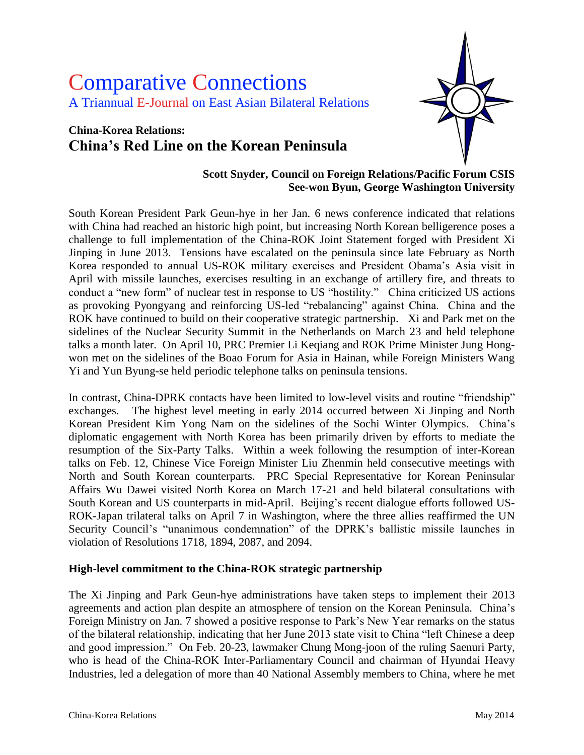# Comparative Connections A Triannual E-Journal on East Asian Bilateral Relations

## **China-Korea Relations: China's Red Line on the Korean Peninsula**



#### **Scott Snyder, Council on Foreign Relations/Pacific Forum CSIS See-won Byun, George Washington University**

South Korean President Park Geun-hye in her Jan. 6 news conference indicated that relations with China had reached an historic high point, but increasing North Korean belligerence poses a challenge to full implementation of the China-ROK Joint Statement forged with President Xi Jinping in June 2013. Tensions have escalated on the peninsula since late February as North Korea responded to annual US-ROK military exercises and President Obama's Asia visit in April with missile launches, exercises resulting in an exchange of artillery fire, and threats to conduct a "new form" of nuclear test in response to US "hostility." China criticized US actions as provoking Pyongyang and reinforcing US-led "rebalancing" against China. China and the ROK have continued to build on their cooperative strategic partnership. Xi and Park met on the sidelines of the Nuclear Security Summit in the Netherlands on March 23 and held telephone talks a month later. On April 10, PRC Premier Li Keqiang and ROK Prime Minister Jung Hongwon met on the sidelines of the Boao Forum for Asia in Hainan, while Foreign Ministers Wang Yi and Yun Byung-se held periodic telephone talks on peninsula tensions.

In contrast, China-DPRK contacts have been limited to low-level visits and routine "friendship" exchanges. The highest level meeting in early 2014 occurred between Xi Jinping and North Korean President Kim Yong Nam on the sidelines of the Sochi Winter Olympics. China's diplomatic engagement with North Korea has been primarily driven by efforts to mediate the resumption of the Six-Party Talks. Within a week following the resumption of inter-Korean talks on Feb. 12, Chinese Vice Foreign Minister Liu Zhenmin held consecutive meetings with North and South Korean counterparts. PRC Special Representative for Korean Peninsular Affairs Wu Dawei visited North Korea on March 17-21 and held bilateral consultations with South Korean and US counterparts in mid-April. Beijing's recent dialogue efforts followed US-ROK-Japan trilateral talks on April 7 in Washington, where the three allies reaffirmed the UN Security Council's "unanimous condemnation" of the DPRK's ballistic missile launches in violation of Resolutions 1718, 1894, 2087, and 2094.

#### **High-level commitment to the China-ROK strategic partnership**

The Xi Jinping and Park Geun-hye administrations have taken steps to implement their 2013 agreements and action plan despite an atmosphere of tension on the Korean Peninsula. China's Foreign Ministry on Jan. 7 showed a positive response to Park's New Year remarks on the status of the bilateral relationship, indicating that her June 2013 state visit to China "left Chinese a deep and good impression." On Feb. 20-23, lawmaker Chung Mong-joon of the ruling Saenuri Party, who is head of the China-ROK Inter-Parliamentary Council and chairman of Hyundai Heavy Industries, led a delegation of more than 40 National Assembly members to China, where he met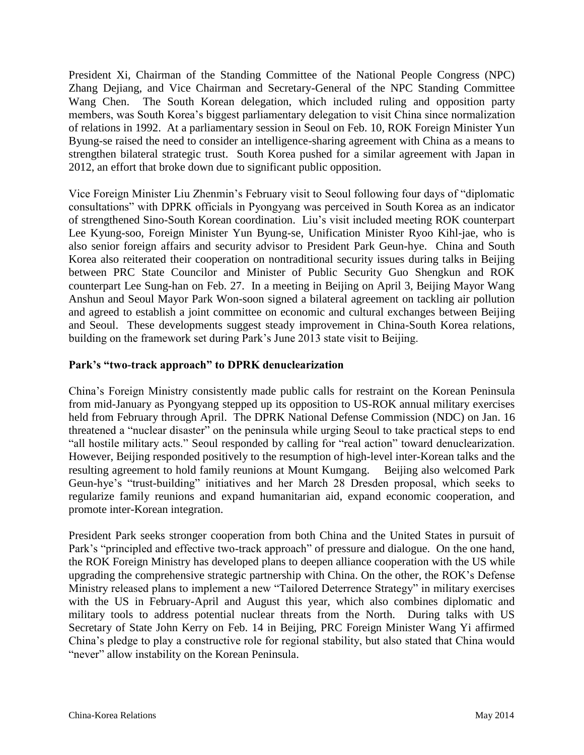President Xi, Chairman of the Standing Committee of the National People Congress (NPC) Zhang Dejiang, and Vice Chairman and Secretary-General of the NPC Standing Committee Wang Chen. The South Korean delegation, which included ruling and opposition party members, was South Korea's biggest parliamentary delegation to visit China since normalization of relations in 1992. At a parliamentary session in Seoul on Feb. 10, ROK Foreign Minister Yun Byung-se raised the need to consider an intelligence-sharing agreement with China as a means to strengthen bilateral strategic trust. South Korea pushed for a similar agreement with Japan in 2012, an effort that broke down due to significant public opposition.

Vice Foreign Minister Liu Zhenmin's February visit to Seoul following four days of "diplomatic consultations" with DPRK officials in Pyongyang was perceived in South Korea as an indicator of strengthened Sino-South Korean coordination. Liu's visit included meeting ROK counterpart Lee Kyung-soo, Foreign Minister Yun Byung-se, Unification Minister Ryoo Kihl-jae, who is also senior foreign affairs and security advisor to President Park Geun-hye. China and South Korea also reiterated their cooperation on nontraditional security issues during talks in Beijing between PRC State Councilor and Minister of Public Security Guo Shengkun and ROK counterpart Lee Sung-han on Feb. 27. In a meeting in Beijing on April 3, Beijing Mayor Wang Anshun and Seoul Mayor Park Won-soon signed a bilateral agreement on tackling air pollution and agreed to establish a joint committee on economic and cultural exchanges between Beijing and Seoul. These developments suggest steady improvement in China-South Korea relations, building on the framework set during Park's June 2013 state visit to Beijing.

#### **Park's "two-track approach" to DPRK denuclearization**

China's Foreign Ministry consistently made public calls for restraint on the Korean Peninsula from mid-January as Pyongyang stepped up its opposition to US-ROK annual military exercises held from February through April. The DPRK National Defense Commission (NDC) on Jan. 16 threatened a "nuclear disaster" on the peninsula while urging Seoul to take practical steps to end "all hostile military acts." Seoul responded by calling for "real action" toward denuclearization. However, Beijing responded positively to the resumption of high-level inter-Korean talks and the resulting agreement to hold family reunions at Mount Kumgang. Beijing also welcomed Park Geun-hye's "trust-building" initiatives and her March 28 Dresden proposal, which seeks to regularize family reunions and expand humanitarian aid, expand economic cooperation, and promote inter-Korean integration.

President Park seeks stronger cooperation from both China and the United States in pursuit of Park's "principled and effective two-track approach" of pressure and dialogue. On the one hand, the ROK Foreign Ministry has developed plans to deepen alliance cooperation with the US while upgrading the comprehensive strategic partnership with China. On the other, the ROK's Defense Ministry released plans to implement a new "Tailored Deterrence Strategy" in military exercises with the US in February-April and August this year, which also combines diplomatic and military tools to address potential nuclear threats from the North. During talks with US Secretary of State John Kerry on Feb. 14 in Beijing, PRC Foreign Minister Wang Yi affirmed China's pledge to play a constructive role for regional stability, but also stated that China would "never" allow instability on the Korean Peninsula.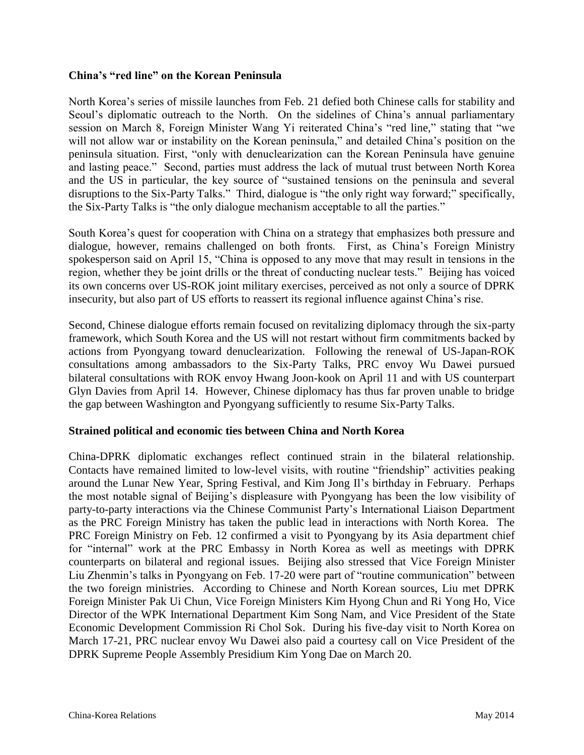#### **China's "red line" on the Korean Peninsula**

North Korea's series of missile launches from Feb. 21 defied both Chinese calls for stability and Seoul's diplomatic outreach to the North. On the sidelines of China's annual parliamentary session on March 8, Foreign Minister Wang Yi reiterated China's "red line," stating that "we will not allow war or instability on the Korean peninsula," and detailed China's position on the peninsula situation. First, "only with denuclearization can the Korean Peninsula have genuine and lasting peace." Second, parties must address the lack of mutual trust between North Korea and the US in particular, the key source of "sustained tensions on the peninsula and several disruptions to the Six-Party Talks." Third, dialogue is "the only right way forward;" specifically, the Six-Party Talks is "the only dialogue mechanism acceptable to all the parties."

South Korea's quest for cooperation with China on a strategy that emphasizes both pressure and dialogue, however, remains challenged on both fronts. First, as China's Foreign Ministry spokesperson said on April 15, "China is opposed to any move that may result in tensions in the region, whether they be joint drills or the threat of conducting nuclear tests." Beijing has voiced its own concerns over US-ROK joint military exercises, perceived as not only a source of DPRK insecurity, but also part of US efforts to reassert its regional influence against China's rise.

Second, Chinese dialogue efforts remain focused on revitalizing diplomacy through the six-party framework, which South Korea and the US will not restart without firm commitments backed by actions from Pyongyang toward denuclearization. Following the renewal of US-Japan-ROK consultations among ambassadors to the Six-Party Talks, PRC envoy Wu Dawei pursued bilateral consultations with ROK envoy Hwang Joon-kook on April 11 and with US counterpart Glyn Davies from April 14. However, Chinese diplomacy has thus far proven unable to bridge the gap between Washington and Pyongyang sufficiently to resume Six-Party Talks.

#### **Strained political and economic ties between China and North Korea**

China-DPRK diplomatic exchanges reflect continued strain in the bilateral relationship. Contacts have remained limited to low-level visits, with routine "friendship" activities peaking around the Lunar New Year, Spring Festival, and Kim Jong Il's birthday in February. Perhaps the most notable signal of Beijing's displeasure with Pyongyang has been the low visibility of party-to-party interactions via the Chinese Communist Party's International Liaison Department as the PRC Foreign Ministry has taken the public lead in interactions with North Korea. The PRC Foreign Ministry on Feb. 12 confirmed a visit to Pyongyang by its Asia department chief for "internal" work at the PRC Embassy in North Korea as well as meetings with DPRK counterparts on bilateral and regional issues. Beijing also stressed that Vice Foreign Minister Liu Zhenmin's talks in Pyongyang on Feb. 17-20 were part of "routine communication" between the two foreign ministries. According to Chinese and North Korean sources, Liu met DPRK Foreign Minister Pak Ui Chun, Vice Foreign Ministers Kim Hyong Chun and Ri Yong Ho, Vice Director of the WPK International Department Kim Song Nam, and Vice President of the State Economic Development Commission Ri Chol Sok. During his five-day visit to North Korea on March 17-21, PRC nuclear envoy Wu Dawei also paid a courtesy call on Vice President of the DPRK Supreme People Assembly Presidium Kim Yong Dae on March 20.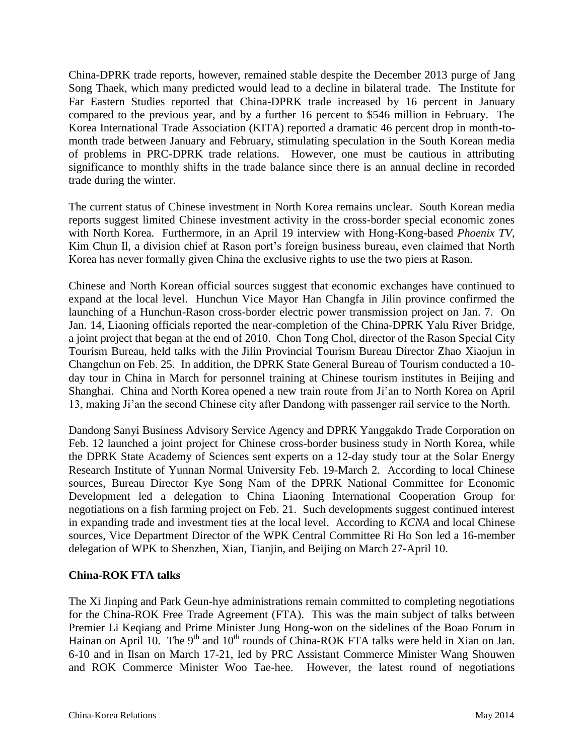China-DPRK trade reports, however, remained stable despite the December 2013 purge of Jang Song Thaek, which many predicted would lead to a decline in bilateral trade. The Institute for Far Eastern Studies reported that China-DPRK trade increased by 16 percent in January compared to the previous year, and by a further 16 percent to \$546 million in February. The Korea International Trade Association (KITA) reported a dramatic 46 percent drop in month-tomonth trade between January and February, stimulating speculation in the South Korean media of problems in PRC-DPRK trade relations. However, one must be cautious in attributing significance to monthly shifts in the trade balance since there is an annual decline in recorded trade during the winter.

The current status of Chinese investment in North Korea remains unclear. South Korean media reports suggest limited Chinese investment activity in the cross-border special economic zones with North Korea. Furthermore, in an April 19 interview with Hong-Kong-based *Phoenix TV*, Kim Chun Il, a division chief at Rason port's foreign business bureau, even claimed that North Korea has never formally given China the exclusive rights to use the two piers at Rason.

Chinese and North Korean official sources suggest that economic exchanges have continued to expand at the local level. Hunchun Vice Mayor Han Changfa in Jilin province confirmed the launching of a Hunchun-Rason cross-border electric power transmission project on Jan. 7. On Jan. 14, Liaoning officials reported the near-completion of the China-DPRK Yalu River Bridge, a joint project that began at the end of 2010. Chon Tong Chol, director of the Rason Special City Tourism Bureau, held talks with the Jilin Provincial Tourism Bureau Director Zhao Xiaojun in Changchun on Feb. 25. In addition, the DPRK State General Bureau of Tourism conducted a 10 day tour in China in March for personnel training at Chinese tourism institutes in Beijing and Shanghai. China and North Korea opened a new train route from Ji'an to North Korea on April 13, making Ji'an the second Chinese city after Dandong with passenger rail service to the North.

Dandong Sanyi Business Advisory Service Agency and DPRK Yanggakdo Trade Corporation on Feb. 12 launched a joint project for Chinese cross-border business study in North Korea, while the DPRK State Academy of Sciences sent experts on a 12-day study tour at the Solar Energy Research Institute of Yunnan Normal University Feb. 19-March 2. According to local Chinese sources, Bureau Director Kye Song Nam of the DPRK National Committee for Economic Development led a delegation to China Liaoning International Cooperation Group for negotiations on a fish farming project on Feb. 21. Such developments suggest continued interest in expanding trade and investment ties at the local level. According to *KCNA* and local Chinese sources, Vice Department Director of the WPK Central Committee Ri Ho Son led a 16-member delegation of WPK to Shenzhen, Xian, Tianjin, and Beijing on March 27-April 10.

#### **China-ROK FTA talks**

The Xi Jinping and Park Geun-hye administrations remain committed to completing negotiations for the China-ROK Free Trade Agreement (FTA). This was the main subject of talks between Premier Li Keqiang and Prime Minister Jung Hong-won on the sidelines of the Boao Forum in Hainan on April 10. The 9<sup>th</sup> and 10<sup>th</sup> rounds of China-ROK FTA talks were held in Xian on Jan. 6-10 and in Ilsan on March 17-21, led by PRC Assistant Commerce Minister Wang Shouwen and ROK Commerce Minister Woo Tae-hee. However, the latest round of negotiations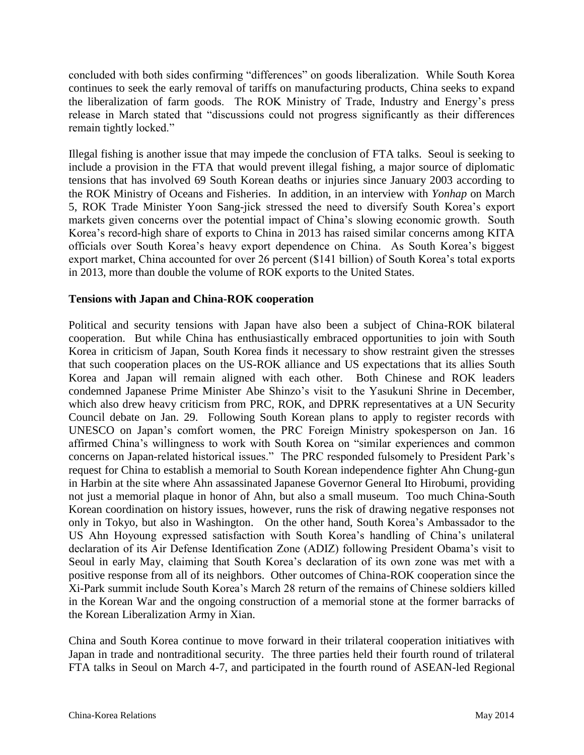concluded with both sides confirming "differences" on goods liberalization. While South Korea continues to seek the early removal of tariffs on manufacturing products, China seeks to expand the liberalization of farm goods. The ROK Ministry of Trade, Industry and Energy's press release in March stated that "discussions could not progress significantly as their differences remain tightly locked."

Illegal fishing is another issue that may impede the conclusion of FTA talks. Seoul is seeking to include a provision in the FTA that would prevent illegal fishing, a major source of diplomatic tensions that has involved 69 South Korean deaths or injuries since January 2003 according to the ROK Ministry of Oceans and Fisheries. In addition, in an interview with *Yonhap* on March 5, ROK Trade Minister Yoon Sang-jick stressed the need to diversify South Korea's export markets given concerns over the potential impact of China's slowing economic growth. South Korea's record-high share of exports to China in 2013 has raised similar concerns among KITA officials over South Korea's heavy export dependence on China. As South Korea's biggest export market, China accounted for over 26 percent (\$141 billion) of South Korea's total exports in 2013, more than double the volume of ROK exports to the United States.

#### **Tensions with Japan and China-ROK cooperation**

Political and security tensions with Japan have also been a subject of China-ROK bilateral cooperation. But while China has enthusiastically embraced opportunities to join with South Korea in criticism of Japan, South Korea finds it necessary to show restraint given the stresses that such cooperation places on the US-ROK alliance and US expectations that its allies South Korea and Japan will remain aligned with each other. Both Chinese and ROK leaders condemned Japanese Prime Minister Abe Shinzo's visit to the Yasukuni Shrine in December, which also drew heavy criticism from PRC, ROK, and DPRK representatives at a UN Security Council debate on Jan. 29. Following South Korean plans to apply to register records with UNESCO on Japan's comfort women, the PRC Foreign Ministry spokesperson on Jan. 16 affirmed China's willingness to work with South Korea on "similar experiences and common concerns on Japan-related historical issues." The PRC responded fulsomely to President Park's request for China to establish a memorial to South Korean independence fighter Ahn Chung-gun in Harbin at the site where Ahn assassinated Japanese Governor General Ito Hirobumi, providing not just a memorial plaque in honor of Ahn, but also a small museum. Too much China-South Korean coordination on history issues, however, runs the risk of drawing negative responses not only in Tokyo, but also in Washington. On the other hand, South Korea's Ambassador to the US Ahn Hoyoung expressed satisfaction with South Korea's handling of China's unilateral declaration of its Air Defense Identification Zone (ADIZ) following President Obama's visit to Seoul in early May, claiming that South Korea's declaration of its own zone was met with a positive response from all of its neighbors. Other outcomes of China-ROK cooperation since the Xi-Park summit include South Korea's March 28 return of the remains of Chinese soldiers killed in the Korean War and the ongoing construction of a memorial stone at the former barracks of the Korean Liberalization Army in Xian.

China and South Korea continue to move forward in their trilateral cooperation initiatives with Japan in trade and nontraditional security. The three parties held their fourth round of trilateral FTA talks in Seoul on March 4-7, and participated in the fourth round of ASEAN-led Regional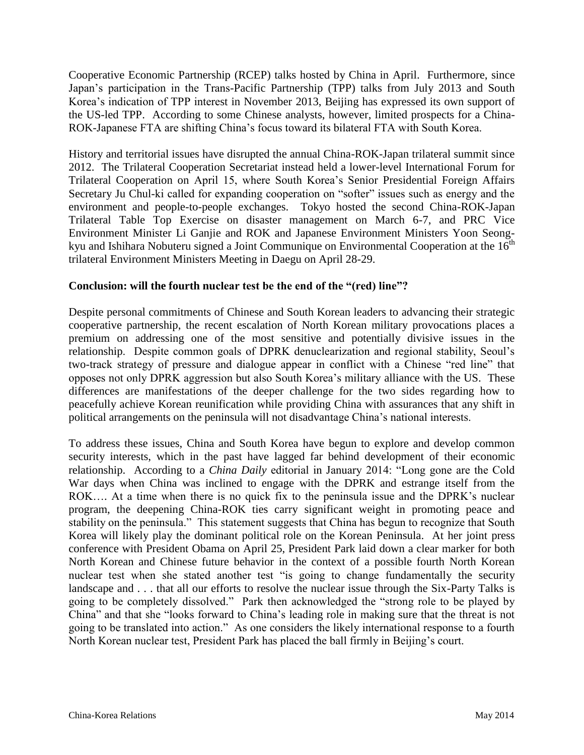Cooperative Economic Partnership (RCEP) talks hosted by China in April. Furthermore, since Japan's participation in the Trans-Pacific Partnership (TPP) talks from July 2013 and South Korea's indication of TPP interest in November 2013, Beijing has expressed its own support of the US-led TPP. According to some Chinese analysts, however, limited prospects for a China-ROK-Japanese FTA are shifting China's focus toward its bilateral FTA with South Korea.

History and territorial issues have disrupted the annual China-ROK-Japan trilateral summit since 2012. The Trilateral Cooperation Secretariat instead held a lower-level International Forum for Trilateral Cooperation on April 15, where South Korea's Senior Presidential Foreign Affairs Secretary Ju Chul-ki called for expanding cooperation on "softer" issues such as energy and the environment and people-to-people exchanges. Tokyo hosted the second China-ROK-Japan Trilateral Table Top Exercise on disaster management on March 6-7, and PRC Vice Environment Minister Li Ganjie and ROK and Japanese Environment Ministers Yoon Seongkyu and Ishihara Nobuteru signed a Joint Communique on Environmental Cooperation at the  $16<sup>th</sup>$ trilateral Environment Ministers Meeting in Daegu on April 28-29.

#### **Conclusion: will the fourth nuclear test be the end of the "(red) line"?**

Despite personal commitments of Chinese and South Korean leaders to advancing their strategic cooperative partnership, the recent escalation of North Korean military provocations places a premium on addressing one of the most sensitive and potentially divisive issues in the relationship. Despite common goals of DPRK denuclearization and regional stability, Seoul's two-track strategy of pressure and dialogue appear in conflict with a Chinese "red line" that opposes not only DPRK aggression but also South Korea's military alliance with the US. These differences are manifestations of the deeper challenge for the two sides regarding how to peacefully achieve Korean reunification while providing China with assurances that any shift in political arrangements on the peninsula will not disadvantage China's national interests.

To address these issues, China and South Korea have begun to explore and develop common security interests, which in the past have lagged far behind development of their economic relationship. According to a *China Daily* editorial in January 2014: "Long gone are the Cold War days when China was inclined to engage with the DPRK and estrange itself from the ROK…. At a time when there is no quick fix to the peninsula issue and the DPRK's nuclear program, the deepening China-ROK ties carry significant weight in promoting peace and stability on the peninsula." This statement suggests that China has begun to recognize that South Korea will likely play the dominant political role on the Korean Peninsula. At her joint press conference with President Obama on April 25, President Park laid down a clear marker for both North Korean and Chinese future behavior in the context of a possible fourth North Korean nuclear test when she stated another test "is going to change fundamentally the security landscape and . . . that all our efforts to resolve the nuclear issue through the Six-Party Talks is going to be completely dissolved." Park then acknowledged the "strong role to be played by China" and that she "looks forward to China's leading role in making sure that the threat is not going to be translated into action." As one considers the likely international response to a fourth North Korean nuclear test, President Park has placed the ball firmly in Beijing's court.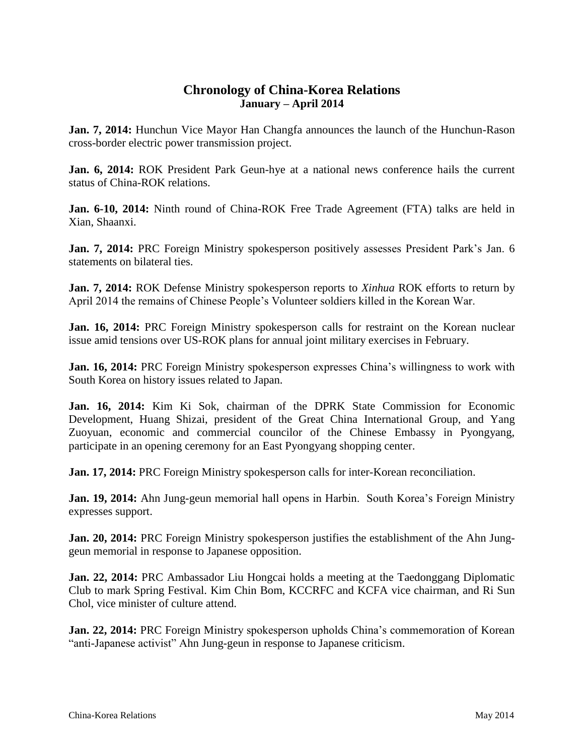### **Chronology of China-Korea Relations January – April 2014**

**Jan. 7, 2014:** Hunchun Vice Mayor Han Changfa announces the launch of the Hunchun-Rason cross-border electric power transmission project.

**Jan. 6, 2014:** ROK President Park Geun-hye at a national news conference hails the current status of China-ROK relations.

**Jan. 6-10, 2014:** Ninth round of China-ROK Free Trade Agreement (FTA) talks are held in Xian, Shaanxi.

**Jan. 7, 2014:** PRC Foreign Ministry spokesperson positively assesses President Park's Jan. 6 statements on bilateral ties.

**Jan. 7, 2014:** ROK Defense Ministry spokesperson reports to *Xinhua* ROK efforts to return by April 2014 the remains of Chinese People's Volunteer soldiers killed in the Korean War.

**Jan. 16, 2014:** PRC Foreign Ministry spokesperson calls for restraint on the Korean nuclear issue amid tensions over US-ROK plans for annual joint military exercises in February.

**Jan. 16, 2014:** PRC Foreign Ministry spokesperson expresses China's willingness to work with South Korea on history issues related to Japan.

**Jan. 16, 2014:** Kim Ki Sok, chairman of the DPRK State Commission for Economic Development, Huang Shizai, president of the Great China International Group, and Yang Zuoyuan, economic and commercial councilor of the Chinese Embassy in Pyongyang, participate in an opening ceremony for an East Pyongyang shopping center.

**Jan. 17, 2014:** PRC Foreign Ministry spokesperson calls for inter-Korean reconciliation.

**Jan. 19, 2014:** Ahn Jung-geun memorial hall opens in Harbin. South Korea's Foreign Ministry expresses support.

**Jan. 20, 2014:** PRC Foreign Ministry spokesperson justifies the establishment of the Ahn Junggeun memorial in response to Japanese opposition.

**Jan. 22, 2014:** PRC Ambassador Liu Hongcai holds a meeting at the Taedonggang Diplomatic Club to mark Spring Festival. Kim Chin Bom, KCCRFC and KCFA vice chairman, and Ri Sun Chol, vice minister of culture attend.

**Jan. 22, 2014:** PRC Foreign Ministry spokesperson upholds China's commemoration of Korean "anti-Japanese activist" Ahn Jung-geun in response to Japanese criticism.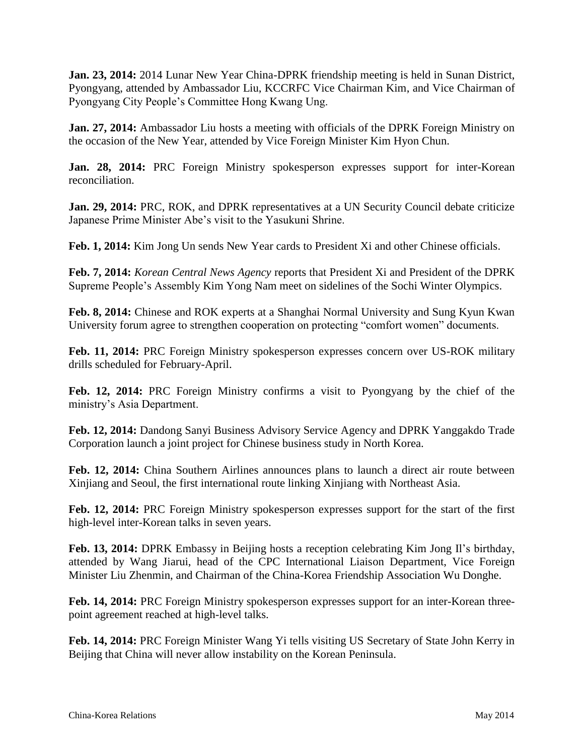**Jan. 23, 2014:** 2014 Lunar New Year China-DPRK friendship meeting is held in Sunan District, Pyongyang, attended by Ambassador Liu, KCCRFC Vice Chairman Kim, and Vice Chairman of Pyongyang City People's Committee Hong Kwang Ung.

**Jan. 27, 2014:** Ambassador Liu hosts a meeting with officials of the DPRK Foreign Ministry on the occasion of the New Year, attended by Vice Foreign Minister Kim Hyon Chun.

**Jan. 28, 2014:** PRC Foreign Ministry spokesperson expresses support for inter-Korean reconciliation.

**Jan. 29, 2014:** PRC, ROK, and DPRK representatives at a UN Security Council debate criticize Japanese Prime Minister Abe's visit to the Yasukuni Shrine.

**Feb. 1, 2014:** Kim Jong Un sends New Year cards to President Xi and other Chinese officials.

**Feb. 7, 2014:** *Korean Central News Agency* reports that President Xi and President of the DPRK Supreme People's Assembly Kim Yong Nam meet on sidelines of the Sochi Winter Olympics.

**Feb. 8, 2014:** Chinese and ROK experts at a Shanghai Normal University and Sung Kyun Kwan University forum agree to strengthen cooperation on protecting "comfort women" documents.

**Feb. 11, 2014:** PRC Foreign Ministry spokesperson expresses concern over US-ROK military drills scheduled for February-April.

**Feb. 12, 2014:** PRC Foreign Ministry confirms a visit to Pyongyang by the chief of the ministry's Asia Department.

**Feb. 12, 2014:** Dandong Sanyi Business Advisory Service Agency and DPRK Yanggakdo Trade Corporation launch a joint project for Chinese business study in North Korea.

**Feb. 12, 2014:** China Southern Airlines announces plans to launch a direct air route between Xinjiang and Seoul, the first international route linking Xinjiang with Northeast Asia.

**Feb. 12, 2014:** PRC Foreign Ministry spokesperson expresses support for the start of the first high-level inter-Korean talks in seven years.

**Feb. 13, 2014:** DPRK Embassy in Beijing hosts a reception celebrating Kim Jong Il's birthday, attended by Wang Jiarui, head of the CPC International Liaison Department, Vice Foreign Minister Liu Zhenmin, and Chairman of the China-Korea Friendship Association Wu Donghe.

**Feb. 14, 2014:** PRC Foreign Ministry spokesperson expresses support for an inter-Korean threepoint agreement reached at high-level talks.

**Feb. 14, 2014:** PRC Foreign Minister Wang Yi tells visiting US Secretary of State John Kerry in Beijing that China will never allow instability on the Korean Peninsula.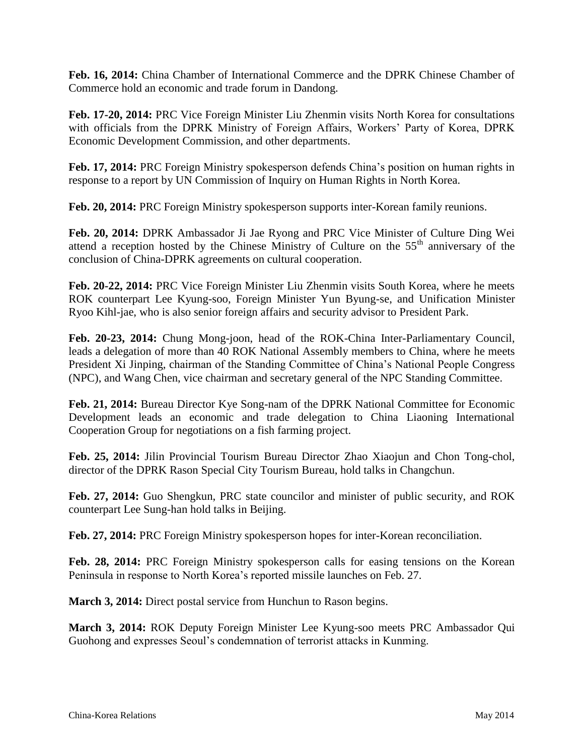**Feb. 16, 2014:** China Chamber of International Commerce and the DPRK Chinese Chamber of Commerce hold an economic and trade forum in Dandong.

**Feb. 17-20, 2014:** PRC Vice Foreign Minister Liu Zhenmin visits North Korea for consultations with officials from the DPRK Ministry of Foreign Affairs, Workers' Party of Korea, DPRK Economic Development Commission, and other departments.

**Feb. 17, 2014:** PRC Foreign Ministry spokesperson defends China's position on human rights in response to a report by UN Commission of Inquiry on Human Rights in North Korea.

**Feb. 20, 2014:** PRC Foreign Ministry spokesperson supports inter-Korean family reunions.

**Feb. 20, 2014:** DPRK Ambassador Ji Jae Ryong and PRC Vice Minister of Culture Ding Wei attend a reception hosted by the Chinese Ministry of Culture on the  $55<sup>th</sup>$  anniversary of the conclusion of China-DPRK agreements on cultural cooperation.

**Feb. 20-22, 2014:** PRC Vice Foreign Minister Liu Zhenmin visits South Korea, where he meets ROK counterpart Lee Kyung-soo, Foreign Minister Yun Byung-se, and Unification Minister Ryoo Kihl-jae, who is also senior foreign affairs and security advisor to President Park.

**Feb. 20-23, 2014:** Chung Mong-joon, head of the ROK-China Inter-Parliamentary Council, leads a delegation of more than 40 ROK National Assembly members to China, where he meets President Xi Jinping, chairman of the Standing Committee of China's National People Congress (NPC), and Wang Chen, vice chairman and secretary general of the NPC Standing Committee.

**Feb. 21, 2014:** Bureau Director Kye Song-nam of the DPRK National Committee for Economic Development leads an economic and trade delegation to China Liaoning International Cooperation Group for negotiations on a fish farming project.

**Feb. 25, 2014:** Jilin Provincial Tourism Bureau Director Zhao Xiaojun and Chon Tong-chol, director of the DPRK Rason Special City Tourism Bureau, hold talks in Changchun.

**Feb. 27, 2014:** Guo Shengkun, PRC state councilor and minister of public security, and ROK counterpart Lee Sung-han hold talks in Beijing.

**Feb. 27, 2014:** PRC Foreign Ministry spokesperson hopes for inter-Korean reconciliation.

**Feb. 28, 2014:** PRC Foreign Ministry spokesperson calls for easing tensions on the Korean Peninsula in response to North Korea's reported missile launches on Feb. 27.

**March 3, 2014:** Direct postal service from Hunchun to Rason begins.

**March 3, 2014:** ROK Deputy Foreign Minister Lee Kyung-soo meets PRC Ambassador Qui Guohong and expresses Seoul's condemnation of terrorist attacks in Kunming.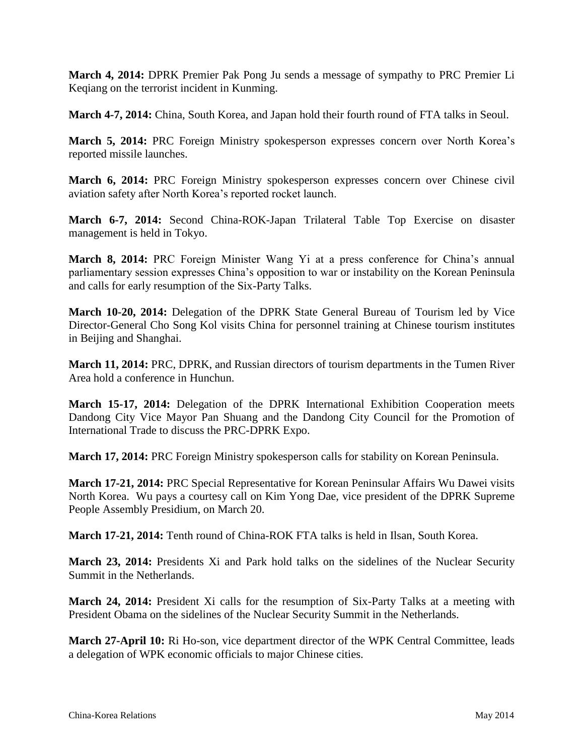**March 4, 2014:** DPRK Premier Pak Pong Ju sends a message of sympathy to PRC Premier Li Keqiang on the terrorist incident in Kunming.

**March 4-7, 2014:** China, South Korea, and Japan hold their fourth round of FTA talks in Seoul.

**March 5, 2014:** PRC Foreign Ministry spokesperson expresses concern over North Korea's reported missile launches.

**March 6, 2014:** PRC Foreign Ministry spokesperson expresses concern over Chinese civil aviation safety after North Korea's reported rocket launch.

**March 6-7, 2014:** Second China-ROK-Japan Trilateral Table Top Exercise on disaster management is held in Tokyo.

**March 8, 2014:** PRC Foreign Minister Wang Yi at a press conference for China's annual parliamentary session expresses China's opposition to war or instability on the Korean Peninsula and calls for early resumption of the Six-Party Talks.

**March 10-20, 2014:** Delegation of the DPRK State General Bureau of Tourism led by Vice Director-General Cho Song Kol visits China for personnel training at Chinese tourism institutes in Beijing and Shanghai.

**March 11, 2014:** PRC, DPRK, and Russian directors of tourism departments in the Tumen River Area hold a conference in Hunchun.

**March 15-17, 2014:** Delegation of the DPRK International Exhibition Cooperation meets Dandong City Vice Mayor Pan Shuang and the Dandong City Council for the Promotion of International Trade to discuss the PRC-DPRK Expo.

**March 17, 2014:** PRC Foreign Ministry spokesperson calls for stability on Korean Peninsula.

**March 17-21, 2014:** PRC Special Representative for Korean Peninsular Affairs Wu Dawei visits North Korea. Wu pays a courtesy call on Kim Yong Dae, vice president of the DPRK Supreme People Assembly Presidium, on March 20.

**March 17-21, 2014:** Tenth round of China-ROK FTA talks is held in Ilsan, South Korea.

**March 23, 2014:** Presidents Xi and Park hold talks on the sidelines of the Nuclear Security Summit in the Netherlands.

**March 24, 2014:** President Xi calls for the resumption of Six-Party Talks at a meeting with President Obama on the sidelines of the Nuclear Security Summit in the Netherlands.

**March 27-April 10:** Ri Ho-son, vice department director of the WPK Central Committee, leads a delegation of WPK economic officials to major Chinese cities.